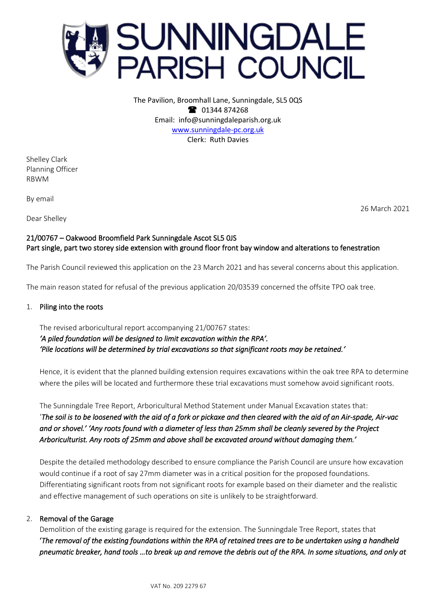

The Pavilion, Broomhall Lane, Sunningdale, SL5 0QS <sup>3</sup> 01344 874268 Email: info@sunningdaleparish.org.uk [www.sunningdale-pc.org.uk](http://www.sunningdale-pc.org.uk/) Clerk: Ruth Davies

Shelley Clark Planning Officer RBWM

By email

Dear Shelley

26 March 2021

## 21/00767 – Oakwood Broomfield Park Sunningdale Ascot SL5 0JS Part single, part two storey side extension with ground floor front bay window and alterations to fenestration

The Parish Council reviewed this application on the 23 March 2021 and has several concerns about this application.

The main reason stated for refusal of the previous application 20/03539 concerned the offsite TPO oak tree.

#### 1. Piling into the roots

The revised arboricultural report accompanying 21/00767 states: *'A piled foundation will be designed to limit excavation within the RPA'. 'Pile locations will be determined by trial excavations so that significant roots may be retained.'* 

Hence, it is evident that the planned building extension requires excavations within the oak tree RPA to determine where the piles will be located and furthermore these trial excavations must somehow avoid significant roots.

The Sunningdale Tree Report, Arboricultural Method Statement under Manual Excavation states that: '*The soil is to be loosened with the aid of a fork or pickaxe and then cleared with the aid of an Air-spade, Air-vac and or shovel.' 'Any roots found with a diameter of less than 25mm shall be cleanly severed by the Project Arboriculturist. Any roots of 25mm and above shall be excavated around without damaging them.'*

Despite the detailed methodology described to ensure compliance the Parish Council are unsure how excavation would continue if a root of say 27mm diameter was in a critical position for the proposed foundations. Differentiating significant roots from not significant roots for example based on their diameter and the realistic and effective management of such operations on site is unlikely to be straightforward.

#### 2. Removal of the Garage

Demolition of the existing garage is required for the extension. The Sunningdale Tree Report, states that '*The removal of the existing foundations within the RPA of retained trees are to be undertaken using a handheld pneumatic breaker, hand tools …to break up and remove the debris out of the RPA. In some situations, and only at*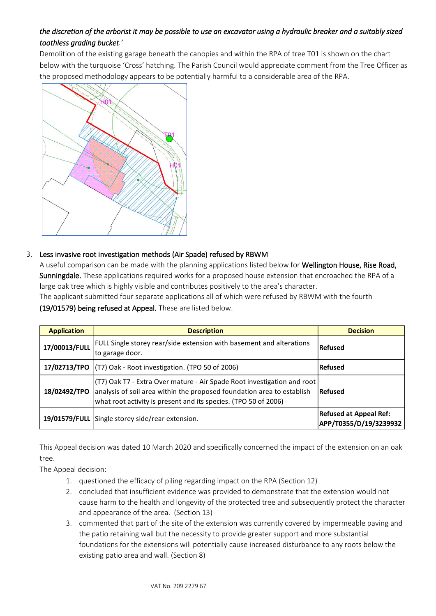# *the discretion of the arborist it may be possible to use an excavator using a hydraulic breaker and a suitably sized toothless grading bucket.'*

Demolition of the existing garage beneath the canopies and within the RPA of tree T01 is shown on the chart below with the turquoise 'Cross' hatching. The Parish Council would appreciate comment from the Tree Officer as the proposed methodology appears to be potentially harmful to a considerable area of the RPA.



# 3. Less invasive root investigation methods (Air Spade) refused by RBWM

A useful comparison can be made with the planning applications listed below for Wellington House, Rise Road, Sunningdale. These applications required works for a proposed house extension that encroached the RPA of a large oak tree which is highly visible and contributes positively to the area's character.

The applicant submitted four separate applications all of which were refused by RBWM with the fourth (19/01579) being refused at Appeal. These are listed below.

| <b>Application</b> | <b>Description</b>                                                                                                                                                                                                            | <b>Decision</b>                                         |
|--------------------|-------------------------------------------------------------------------------------------------------------------------------------------------------------------------------------------------------------------------------|---------------------------------------------------------|
| 17/00013/FULL      | FULL Single storey rear/side extension with basement and alterations<br>to garage door.                                                                                                                                       | Refused                                                 |
|                    | 17/02713/TPO $ (T7)$ Oak - Root investigation. (TPO 50 of 2006)                                                                                                                                                               | <b>Refused</b>                                          |
| 18/02492/TPO       | (T7)        Oak T7 - Extra Over mature - Air Spade Root investigation and root  <br>analysis of soil area within the proposed foundation area to establish<br>what root activity is present and its species. (TPO 50 of 2006) | Refused                                                 |
|                    | 19/01579/FULL Single storey side/rear extension.                                                                                                                                                                              | <b>Refused at Appeal Ref:</b><br>APP/T0355/D/19/3239932 |

This Appeal decision was dated 10 March 2020 and specifically concerned the impact of the extension on an oak tree.

The Appeal decision:

- 1. questioned the efficacy of piling regarding impact on the RPA (Section 12)
- 2. concluded that insufficient evidence was provided to demonstrate that the extension would not cause harm to the health and longevity of the protected tree and subsequently protect the character and appearance of the area. (Section 13)
- 3. commented that part of the site of the extension was currently covered by impermeable paving and the patio retaining wall but the necessity to provide greater support and more substantial foundations for the extensions will potentially cause increased disturbance to any roots below the existing patio area and wall. (Section 8)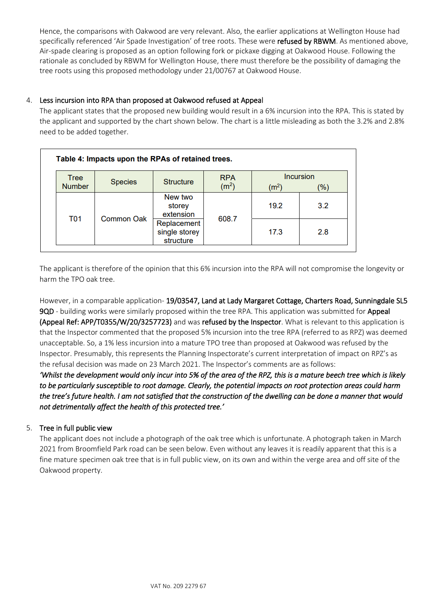Hence, the comparisons with Oakwood are very relevant. Also, the earlier applications at Wellington House had specifically referenced 'Air Spade Investigation' of tree roots. These were refused by RBWM. As mentioned above, Air-spade clearing is proposed as an option following fork or pickaxe digging at Oakwood House. Following the rationale as concluded by RBWM for Wellington House, there must therefore be the possibility of damaging the tree roots using this proposed methodology under 21/00767 at Oakwood House.

## 4. Less incursion into RPA than proposed at Oakwood refused at Appeal

The applicant states that the proposed new building would result in a 6% incursion into the RPA. This is stated by the applicant and supported by the chart shown below. The chart is a little misleading as both the 3.2% and 2.8% need to be added together.

| Tree          |                   | <b>RPA</b><br><b>Structure</b><br><b>Species</b><br>(m <sup>2</sup> ) | <b>Incursion</b> |                   |     |
|---------------|-------------------|-----------------------------------------------------------------------|------------------|-------------------|-----|
| <b>Number</b> |                   |                                                                       |                  | (m <sup>2</sup> ) | (%) |
| <b>T01</b>    | <b>Common Oak</b> | New two<br>storey<br>extension                                        | 608.7            | 19.2              | 3.2 |
|               |                   | Replacement<br>single storey<br>structure                             |                  | 17.3              | 2.8 |

The applicant is therefore of the opinion that this 6% incursion into the RPA will not compromise the longevity or harm the TPO oak tree.

However, in a comparable application- 19/03547, Land at Lady Margaret Cottage, Charters Road, Sunningdale SL5 9QD - building works were similarly proposed within the tree RPA. This application was submitted for Appeal (Appeal Ref: APP/T0355/W/20/3257723) and was refused by the Inspector. What is relevant to this application is that the Inspector commented that the proposed 5% incursion into the tree RPA (referred to as RPZ) was deemed unacceptable. So, a 1% less incursion into a mature TPO tree than proposed at Oakwood was refused by the Inspector. Presumably, this represents the Planning Inspectorate's current interpretation of impact on RPZ's as the refusal decision was made on 23 March 2021. The Inspector's comments are as follows:

*'Whilst the development would only incur into 5% of the area of the RPZ, this is a mature beech tree which is likely to be particularly susceptible to root damage. Clearly, the potential impacts on root protection areas could harm the tree's future health. I am not satisfied that the construction of the dwelling can be done a manner that would not detrimentally affect the health of this protected tree.'* 

# 5. Tree in full public view

The applicant does not include a photograph of the oak tree which is unfortunate. A photograph taken in March 2021 from Broomfield Park road can be seen below. Even without any leaves it is readily apparent that this is a fine mature specimen oak tree that is in full public view, on its own and within the verge area and off site of the Oakwood property.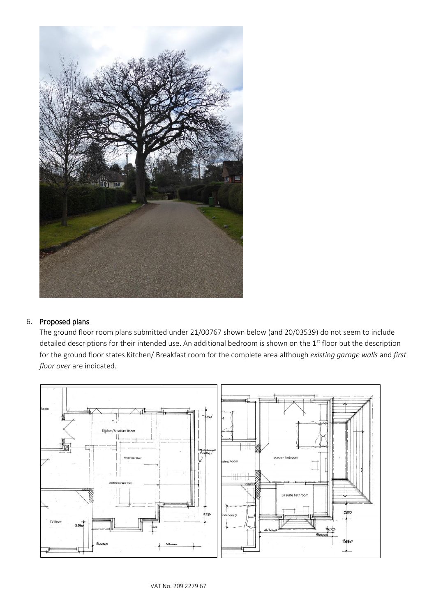

## 6. Proposed plans

The ground floor room plans submitted under 21/00767 shown below (and 20/03539) do not seem to include detailed descriptions for their intended use. An additional bedroom is shown on the 1<sup>st</sup> floor but the description for the ground floor states Kitchen/ Breakfast room for the complete area although *existing garage walls* and *first floor over* are indicated.

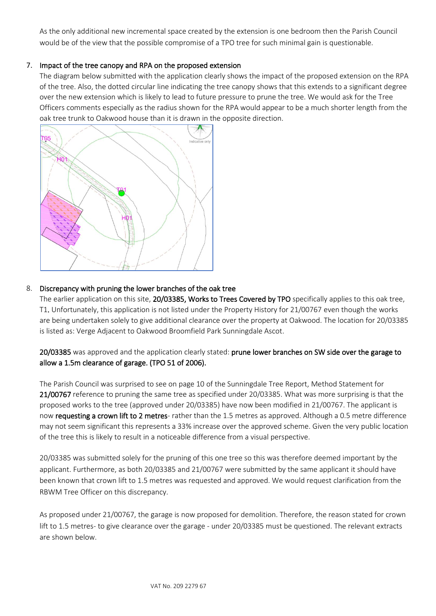As the only additional new incremental space created by the extension is one bedroom then the Parish Council would be of the view that the possible compromise of a TPO tree for such minimal gain is questionable.

## 7. Impact of the tree canopy and RPA on the proposed extension

The diagram below submitted with the application clearly shows the impact of the proposed extension on the RPA of the tree. Also, the dotted circular line indicating the tree canopy shows that this extends to a significant degree over the new extension which is likely to lead to future pressure to prune the tree. We would ask for the Tree Officers comments especially as the radius shown for the RPA would appear to be a much shorter length from the oak tree trunk to Oakwood house than it is drawn in the opposite direction.



## 8. Discrepancy with pruning the lower branches of the oak tree

The earlier application on this site, 20/03385, Works to Trees Covered by TPO specifically applies to this oak tree, T1. Unfortunately, this application is not listed under the Property History for 21/00767 even though the works are being undertaken solely to give additional clearance over the property at Oakwood. The location for 20/03385 is listed as: Verge Adjacent to Oakwood Broomfield Park Sunningdale Ascot.

20/03385 was approved and the application clearly stated: prune lower branches on SW side over the garage to allow a 1.5m clearance of garage. (TPO 51 of 2006).

The Parish Council was surprised to see on page 10 of the Sunningdale Tree Report, Method Statement for 21/00767 reference to pruning the same tree as specified under 20/03385. What was more surprising is that the proposed works to the tree (approved under 20/03385) have now been modified in 21/00767. The applicant is now requesting a crown lift to 2 metres- rather than the 1.5 metres as approved. Although a 0.5 metre difference may not seem significant this represents a 33% increase over the approved scheme. Given the very public location of the tree this is likely to result in a noticeable difference from a visual perspective.

20/03385 was submitted solely for the pruning of this one tree so this was therefore deemed important by the applicant. Furthermore, as both 20/03385 and 21/00767 were submitted by the same applicant it should have been known that crown lift to 1.5 metres was requested and approved. We would request clarification from the RBWM Tree Officer on this discrepancy.

As proposed under 21/00767, the garage is now proposed for demolition. Therefore, the reason stated for crown lift to 1.5 metres- to give clearance over the garage - under 20/03385 must be questioned. The relevant extracts are shown below.